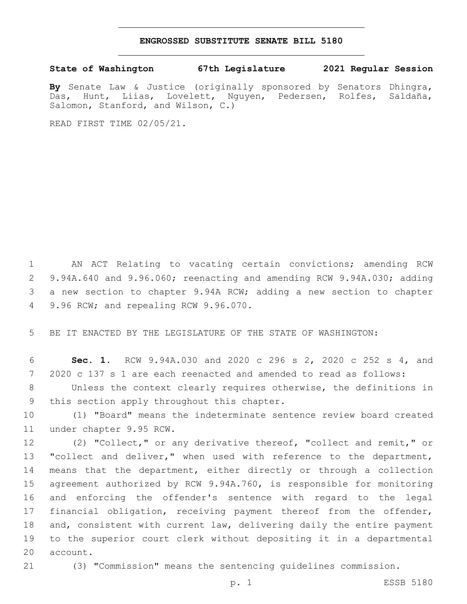## **ENGROSSED SUBSTITUTE SENATE BILL 5180**

## **State of Washington 67th Legislature 2021 Regular Session**

**By** Senate Law & Justice (originally sponsored by Senators Dhingra, Das, Hunt, Liias, Lovelett, Nguyen, Pedersen, Rolfes, Saldaña, Salomon, Stanford, and Wilson, C.)

READ FIRST TIME 02/05/21.

 AN ACT Relating to vacating certain convictions; amending RCW 9.94A.640 and 9.96.060; reenacting and amending RCW 9.94A.030; adding a new section to chapter 9.94A RCW; adding a new section to chapter 9.96 RCW; and repealing RCW 9.96.070.4

5 BE IT ENACTED BY THE LEGISLATURE OF THE STATE OF WASHINGTON:

6 **Sec. 1.** RCW 9.94A.030 and 2020 c 296 s 2, 2020 c 252 s 4, and 7 2020 c 137 s 1 are each reenacted and amended to read as follows:

8 Unless the context clearly requires otherwise, the definitions in 9 this section apply throughout this chapter.

10 (1) "Board" means the indeterminate sentence review board created 11 under chapter 9.95 RCW.

 (2) "Collect," or any derivative thereof, "collect and remit," or 13 "collect and deliver," when used with reference to the department, means that the department, either directly or through a collection agreement authorized by RCW 9.94A.760, is responsible for monitoring and enforcing the offender's sentence with regard to the legal financial obligation, receiving payment thereof from the offender, and, consistent with current law, delivering daily the entire payment to the superior court clerk without depositing it in a departmental 20 account.

21 (3) "Commission" means the sentencing guidelines commission.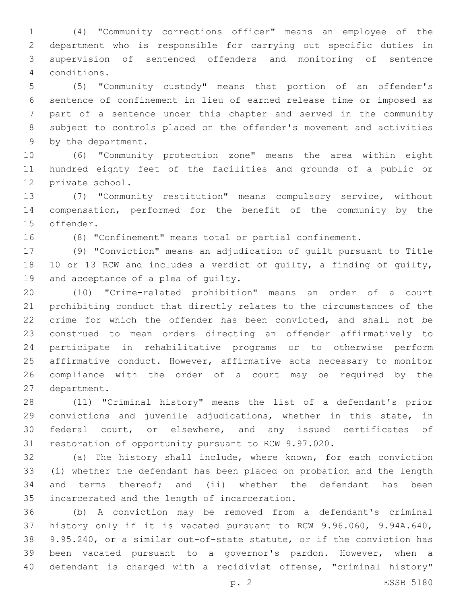(4) "Community corrections officer" means an employee of the department who is responsible for carrying out specific duties in supervision of sentenced offenders and monitoring of sentence conditions.4

 (5) "Community custody" means that portion of an offender's sentence of confinement in lieu of earned release time or imposed as part of a sentence under this chapter and served in the community subject to controls placed on the offender's movement and activities 9 by the department.

 (6) "Community protection zone" means the area within eight hundred eighty feet of the facilities and grounds of a public or 12 private school.

 (7) "Community restitution" means compulsory service, without compensation, performed for the benefit of the community by the 15 offender.

(8) "Confinement" means total or partial confinement.

 (9) "Conviction" means an adjudication of guilt pursuant to Title 10 or 13 RCW and includes a verdict of guilty, a finding of guilty, 19 and acceptance of a plea of guilty.

 (10) "Crime-related prohibition" means an order of a court prohibiting conduct that directly relates to the circumstances of the crime for which the offender has been convicted, and shall not be construed to mean orders directing an offender affirmatively to participate in rehabilitative programs or to otherwise perform affirmative conduct. However, affirmative acts necessary to monitor compliance with the order of a court may be required by the 27 department.

 (11) "Criminal history" means the list of a defendant's prior convictions and juvenile adjudications, whether in this state, in federal court, or elsewhere, and any issued certificates of restoration of opportunity pursuant to RCW 9.97.020.

 (a) The history shall include, where known, for each conviction (i) whether the defendant has been placed on probation and the length and terms thereof; and (ii) whether the defendant has been 35 incarcerated and the length of incarceration.

 (b) A conviction may be removed from a defendant's criminal history only if it is vacated pursuant to RCW 9.96.060, 9.94A.640, 9.95.240, or a similar out-of-state statute, or if the conviction has been vacated pursuant to a governor's pardon. However, when a defendant is charged with a recidivist offense, "criminal history"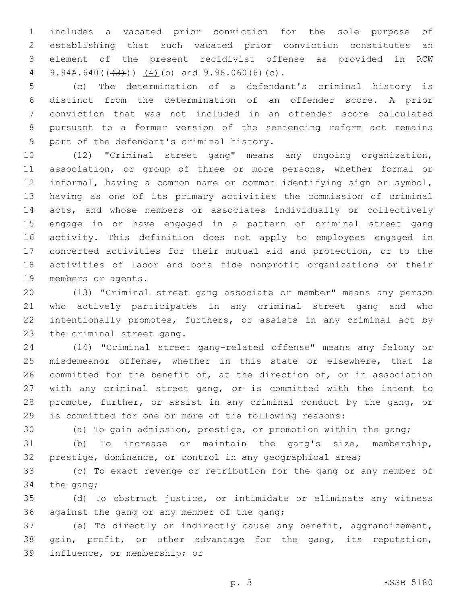includes a vacated prior conviction for the sole purpose of establishing that such vacated prior conviction constitutes an element of the present recidivist offense as provided in RCW 4 9.94A.640( $(\frac{43}{})$ )  $(4)$ (b) and 9.96.060(6)(c).

 (c) The determination of a defendant's criminal history is distinct from the determination of an offender score. A prior conviction that was not included in an offender score calculated pursuant to a former version of the sentencing reform act remains 9 part of the defendant's criminal history.

 (12) "Criminal street gang" means any ongoing organization, association, or group of three or more persons, whether formal or informal, having a common name or common identifying sign or symbol, having as one of its primary activities the commission of criminal acts, and whose members or associates individually or collectively engage in or have engaged in a pattern of criminal street gang activity. This definition does not apply to employees engaged in concerted activities for their mutual aid and protection, or to the activities of labor and bona fide nonprofit organizations or their 19 members or agents.

 (13) "Criminal street gang associate or member" means any person who actively participates in any criminal street gang and who intentionally promotes, furthers, or assists in any criminal act by 23 the criminal street gang.

 (14) "Criminal street gang-related offense" means any felony or misdemeanor offense, whether in this state or elsewhere, that is committed for the benefit of, at the direction of, or in association with any criminal street gang, or is committed with the intent to promote, further, or assist in any criminal conduct by the gang, or is committed for one or more of the following reasons:

(a) To gain admission, prestige, or promotion within the gang;

 (b) To increase or maintain the gang's size, membership, prestige, dominance, or control in any geographical area;

 (c) To exact revenge or retribution for the gang or any member of 34 the gang;

 (d) To obstruct justice, or intimidate or eliminate any witness 36 against the gang or any member of the gang;

 (e) To directly or indirectly cause any benefit, aggrandizement, 38 gain, profit, or other advantage for the gang, its reputation, 39 influence, or membership; or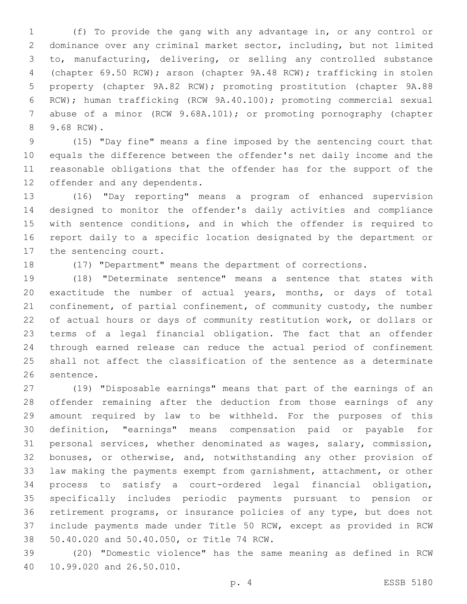(f) To provide the gang with any advantage in, or any control or dominance over any criminal market sector, including, but not limited to, manufacturing, delivering, or selling any controlled substance (chapter 69.50 RCW); arson (chapter 9A.48 RCW); trafficking in stolen property (chapter 9A.82 RCW); promoting prostitution (chapter 9A.88 RCW); human trafficking (RCW 9A.40.100); promoting commercial sexual 7 abuse of a minor (RCW 9.68A.101); or promoting pornography (chapter 9.68 RCW).8

 (15) "Day fine" means a fine imposed by the sentencing court that equals the difference between the offender's net daily income and the reasonable obligations that the offender has for the support of the 12 offender and any dependents.

 (16) "Day reporting" means a program of enhanced supervision designed to monitor the offender's daily activities and compliance with sentence conditions, and in which the offender is required to report daily to a specific location designated by the department or 17 the sentencing court.

(17) "Department" means the department of corrections.

 (18) "Determinate sentence" means a sentence that states with exactitude the number of actual years, months, or days of total 21 confinement, of partial confinement, of community custody, the number of actual hours or days of community restitution work, or dollars or terms of a legal financial obligation. The fact that an offender through earned release can reduce the actual period of confinement shall not affect the classification of the sentence as a determinate 26 sentence.

 (19) "Disposable earnings" means that part of the earnings of an offender remaining after the deduction from those earnings of any amount required by law to be withheld. For the purposes of this definition, "earnings" means compensation paid or payable for personal services, whether denominated as wages, salary, commission, bonuses, or otherwise, and, notwithstanding any other provision of law making the payments exempt from garnishment, attachment, or other process to satisfy a court-ordered legal financial obligation, specifically includes periodic payments pursuant to pension or retirement programs, or insurance policies of any type, but does not include payments made under Title 50 RCW, except as provided in RCW 50.40.020 and 50.40.050, or Title 74 RCW.38

 (20) "Domestic violence" has the same meaning as defined in RCW 40 10.99.020 and 26.50.010.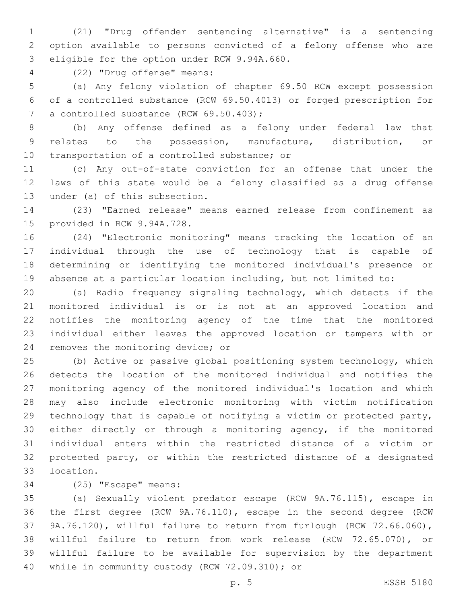(21) "Drug offender sentencing alternative" is a sentencing option available to persons convicted of a felony offense who are 3 eligible for the option under RCW 9.94A.660.

(22) "Drug offense" means:4

 (a) Any felony violation of chapter 69.50 RCW except possession of a controlled substance (RCW 69.50.4013) or forged prescription for 7 a controlled substance (RCW 69.50.403);

 (b) Any offense defined as a felony under federal law that relates to the possession, manufacture, distribution, or 10 transportation of a controlled substance; or

 (c) Any out-of-state conviction for an offense that under the laws of this state would be a felony classified as a drug offense 13 under (a) of this subsection.

 (23) "Earned release" means earned release from confinement as 15 provided in RCW 9.94A.728.

 (24) "Electronic monitoring" means tracking the location of an individual through the use of technology that is capable of determining or identifying the monitored individual's presence or absence at a particular location including, but not limited to:

 (a) Radio frequency signaling technology, which detects if the monitored individual is or is not at an approved location and notifies the monitoring agency of the time that the monitored individual either leaves the approved location or tampers with or 24 removes the monitoring device; or

 (b) Active or passive global positioning system technology, which detects the location of the monitored individual and notifies the monitoring agency of the monitored individual's location and which may also include electronic monitoring with victim notification technology that is capable of notifying a victim or protected party, either directly or through a monitoring agency, if the monitored individual enters within the restricted distance of a victim or protected party, or within the restricted distance of a designated 33 location.

34 (25) "Escape" means:

 (a) Sexually violent predator escape (RCW 9A.76.115), escape in the first degree (RCW 9A.76.110), escape in the second degree (RCW 9A.76.120), willful failure to return from furlough (RCW 72.66.060), willful failure to return from work release (RCW 72.65.070), or willful failure to be available for supervision by the department 40 while in community custody (RCW 72.09.310); or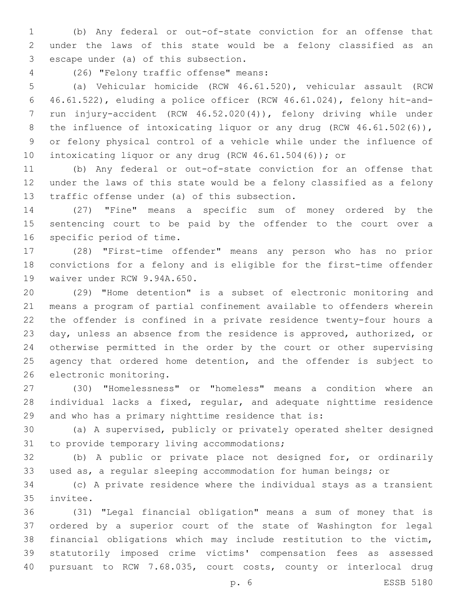(b) Any federal or out-of-state conviction for an offense that under the laws of this state would be a felony classified as an 3 escape under (a) of this subsection.

(26) "Felony traffic offense" means:4

 (a) Vehicular homicide (RCW 46.61.520), vehicular assault (RCW 46.61.522), eluding a police officer (RCW 46.61.024), felony hit-and- run injury-accident (RCW 46.52.020(4)), felony driving while under 8 the influence of intoxicating liquor or any drug (RCW 46.61.502(6)), or felony physical control of a vehicle while under the influence of 10 intoxicating liquor or any drug (RCW 46.61.504(6)); or

 (b) Any federal or out-of-state conviction for an offense that under the laws of this state would be a felony classified as a felony 13 traffic offense under (a) of this subsection.

 (27) "Fine" means a specific sum of money ordered by the sentencing court to be paid by the offender to the court over a 16 specific period of time.

 (28) "First-time offender" means any person who has no prior convictions for a felony and is eligible for the first-time offender 19 waiver under RCW 9.94A.650.

 (29) "Home detention" is a subset of electronic monitoring and means a program of partial confinement available to offenders wherein the offender is confined in a private residence twenty-four hours a day, unless an absence from the residence is approved, authorized, or otherwise permitted in the order by the court or other supervising 25 agency that ordered home detention, and the offender is subject to 26 electronic monitoring.

 (30) "Homelessness" or "homeless" means a condition where an individual lacks a fixed, regular, and adequate nighttime residence and who has a primary nighttime residence that is:

 (a) A supervised, publicly or privately operated shelter designed 31 to provide temporary living accommodations;

 (b) A public or private place not designed for, or ordinarily used as, a regular sleeping accommodation for human beings; or

 (c) A private residence where the individual stays as a transient 35 invitee.

 (31) "Legal financial obligation" means a sum of money that is ordered by a superior court of the state of Washington for legal financial obligations which may include restitution to the victim, statutorily imposed crime victims' compensation fees as assessed pursuant to RCW 7.68.035, court costs, county or interlocal drug

p. 6 ESSB 5180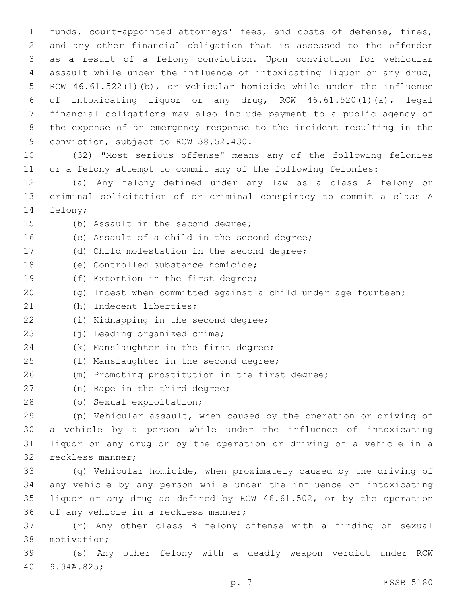funds, court-appointed attorneys' fees, and costs of defense, fines, and any other financial obligation that is assessed to the offender as a result of a felony conviction. Upon conviction for vehicular assault while under the influence of intoxicating liquor or any drug, RCW 46.61.522(1)(b), or vehicular homicide while under the influence of intoxicating liquor or any drug, RCW 46.61.520(1)(a), legal financial obligations may also include payment to a public agency of the expense of an emergency response to the incident resulting in the 9 conviction, subject to RCW 38.52.430.

10 (32) "Most serious offense" means any of the following felonies 11 or a felony attempt to commit any of the following felonies:

12 (a) Any felony defined under any law as a class A felony or 13 criminal solicitation of or criminal conspiracy to commit a class A 14 felony;

15 (b) Assault in the second degree;

16 (c) Assault of a child in the second degree; 17 (d) Child molestation in the second degree; 18 (e) Controlled substance homicide; 19 (f) Extortion in the first degree; 20 (g) Incest when committed against a child under age fourteen; (h) Indecent liberties;21 22 (i) Kidnapping in the second degree; 23 (j) Leading organized crime; 24 (k) Manslaughter in the first degree; 25 (1) Manslaughter in the second degree; 26 (m) Promoting prostitution in the first degree; 27 (n) Rape in the third degree; 28 (o) Sexual exploitation; 29 (p) Vehicular assault, when caused by the operation or driving of 30 a vehicle by a person while under the influence of intoxicating 31 liquor or any drug or by the operation or driving of a vehicle in a 32 reckless manner; 33 (q) Vehicular homicide, when proximately caused by the driving of 34 any vehicle by any person while under the influence of intoxicating 35 liquor or any drug as defined by RCW 46.61.502, or by the operation 36 of any vehicle in a reckless manner; 37 (r) Any other class B felony offense with a finding of sexual 38 motivation; 39 (s) Any other felony with a deadly weapon verdict under RCW 9.94A.825;40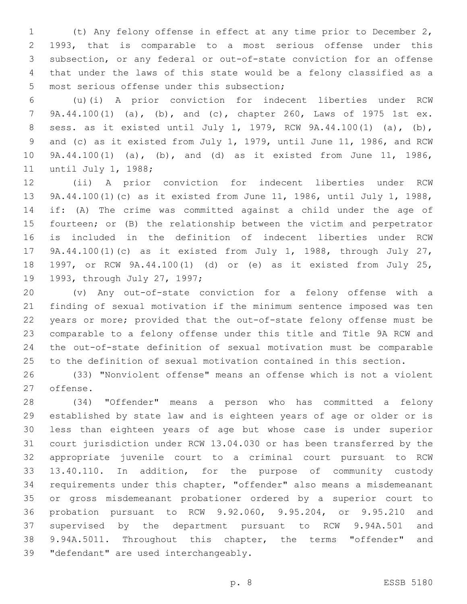(t) Any felony offense in effect at any time prior to December 2, 1993, that is comparable to a most serious offense under this subsection, or any federal or out-of-state conviction for an offense that under the laws of this state would be a felony classified as a 5 most serious offense under this subsection;

 (u)(i) A prior conviction for indecent liberties under RCW 9A.44.100(1) (a), (b), and (c), chapter 260, Laws of 1975 1st ex. sess. as it existed until July 1, 1979, RCW 9A.44.100(1) (a), (b), and (c) as it existed from July 1, 1979, until June 11, 1986, and RCW 9A.44.100(1) (a), (b), and (d) as it existed from June 11, 1986, 11 until July 1, 1988;

 (ii) A prior conviction for indecent liberties under RCW 9A.44.100(1)(c) as it existed from June 11, 1986, until July 1, 1988, if: (A) The crime was committed against a child under the age of fourteen; or (B) the relationship between the victim and perpetrator is included in the definition of indecent liberties under RCW 9A.44.100(1)(c) as it existed from July 1, 1988, through July 27, 1997, or RCW 9A.44.100(1) (d) or (e) as it existed from July 25, 19 1993, through July 27, 1997;

 (v) Any out-of-state conviction for a felony offense with a finding of sexual motivation if the minimum sentence imposed was ten years or more; provided that the out-of-state felony offense must be comparable to a felony offense under this title and Title 9A RCW and the out-of-state definition of sexual motivation must be comparable to the definition of sexual motivation contained in this section.

 (33) "Nonviolent offense" means an offense which is not a violent 27 offense.

 (34) "Offender" means a person who has committed a felony established by state law and is eighteen years of age or older or is less than eighteen years of age but whose case is under superior court jurisdiction under RCW 13.04.030 or has been transferred by the appropriate juvenile court to a criminal court pursuant to RCW 13.40.110. In addition, for the purpose of community custody requirements under this chapter, "offender" also means a misdemeanant or gross misdemeanant probationer ordered by a superior court to probation pursuant to RCW 9.92.060, 9.95.204, or 9.95.210 and supervised by the department pursuant to RCW 9.94A.501 and 9.94A.5011. Throughout this chapter, the terms "offender" and 39 "defendant" are used interchangeably.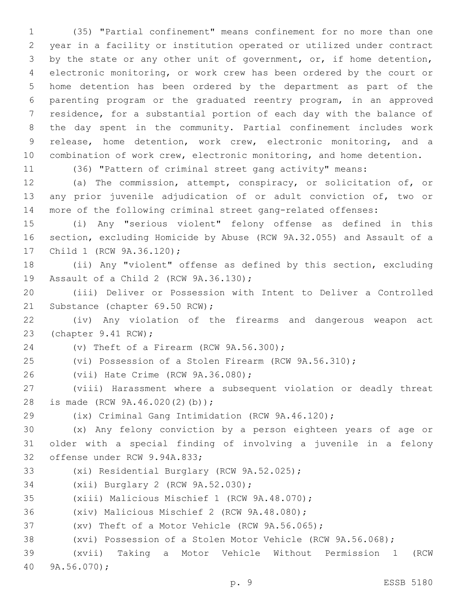(35) "Partial confinement" means confinement for no more than one year in a facility or institution operated or utilized under contract by the state or any other unit of government, or, if home detention, electronic monitoring, or work crew has been ordered by the court or home detention has been ordered by the department as part of the parenting program or the graduated reentry program, in an approved residence, for a substantial portion of each day with the balance of the day spent in the community. Partial confinement includes work release, home detention, work crew, electronic monitoring, and a combination of work crew, electronic monitoring, and home detention.

(36) "Pattern of criminal street gang activity" means:

 (a) The commission, attempt, conspiracy, or solicitation of, or any prior juvenile adjudication of or adult conviction of, two or more of the following criminal street gang-related offenses:

 (i) Any "serious violent" felony offense as defined in this section, excluding Homicide by Abuse (RCW 9A.32.055) and Assault of a 17 Child 1 (RCW 9A.36.120);

 (ii) Any "violent" offense as defined by this section, excluding 19 Assault of a Child 2 (RCW 9A.36.130);

 (iii) Deliver or Possession with Intent to Deliver a Controlled 21 Substance (chapter 69.50 RCW);

 (iv) Any violation of the firearms and dangerous weapon act 23 (chapter 9.41 RCW);

24 (v) Theft of a Firearm (RCW 9A.56.300);

(vi) Possession of a Stolen Firearm (RCW 9A.56.310);

26 (vii) Hate Crime (RCW 9A.36.080);

 (viii) Harassment where a subsequent violation or deadly threat 28 is made (RCW 9A.46.020(2)(b));

(ix) Criminal Gang Intimidation (RCW 9A.46.120);

 (x) Any felony conviction by a person eighteen years of age or older with a special finding of involving a juvenile in a felony 32 offense under RCW 9.94A.833;

- 33 (xi) Residential Burglary (RCW 9A.52.025);
- 34 (xii) Burglary 2 (RCW 9A.52.030);

35 (xiii) Malicious Mischief 1 (RCW 9A.48.070);

36 (xiv) Malicious Mischief 2 (RCW 9A.48.080);

(xv) Theft of a Motor Vehicle (RCW 9A.56.065);

(xvi) Possession of a Stolen Motor Vehicle (RCW 9A.56.068);

 (xvii) Taking a Motor Vehicle Without Permission 1 (RCW 9A.56.070);40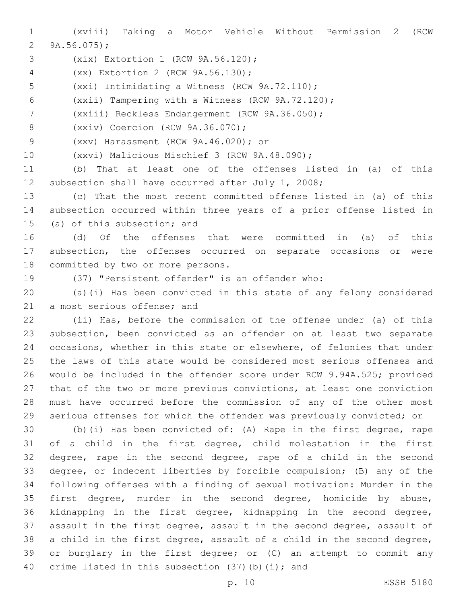(xviii) Taking a Motor Vehicle Without Permission 2 (RCW 2  $9A.56.075$ ;

- 3 (xix) Extortion 1 (RCW 9A.56.120);
- (xx) Extortion 2 (RCW 9A.56.130);4
- 5 (xxi) Intimidating a Witness (RCW 9A.72.110);
- (xxii) Tampering with a Witness (RCW 9A.72.120);
- 7 (xxiii) Reckless Endangerment (RCW 9A.36.050);
- 8 (xxiv) Coercion (RCW 9A.36.070);
- (xxv) Harassment (RCW 9A.46.020); or9
- 10 (xxvi) Malicious Mischief 3 (RCW 9A.48.090);

 (b) That at least one of the offenses listed in (a) of this subsection shall have occurred after July 1, 2008;

 (c) That the most recent committed offense listed in (a) of this subsection occurred within three years of a prior offense listed in 15 (a) of this subsection; and

 (d) Of the offenses that were committed in (a) of this subsection, the offenses occurred on separate occasions or were 18 committed by two or more persons.

(37) "Persistent offender" is an offender who:

 (a)(i) Has been convicted in this state of any felony considered 21 a most serious offense; and

 (ii) Has, before the commission of the offense under (a) of this subsection, been convicted as an offender on at least two separate occasions, whether in this state or elsewhere, of felonies that under the laws of this state would be considered most serious offenses and would be included in the offender score under RCW 9.94A.525; provided that of the two or more previous convictions, at least one conviction must have occurred before the commission of any of the other most serious offenses for which the offender was previously convicted; or

 (b)(i) Has been convicted of: (A) Rape in the first degree, rape of a child in the first degree, child molestation in the first degree, rape in the second degree, rape of a child in the second degree, or indecent liberties by forcible compulsion; (B) any of the following offenses with a finding of sexual motivation: Murder in the first degree, murder in the second degree, homicide by abuse, kidnapping in the first degree, kidnapping in the second degree, assault in the first degree, assault in the second degree, assault of a child in the first degree, assault of a child in the second degree, or burglary in the first degree; or (C) an attempt to commit any 40 crime listed in this subsection  $(37)(b)(i)$ ; and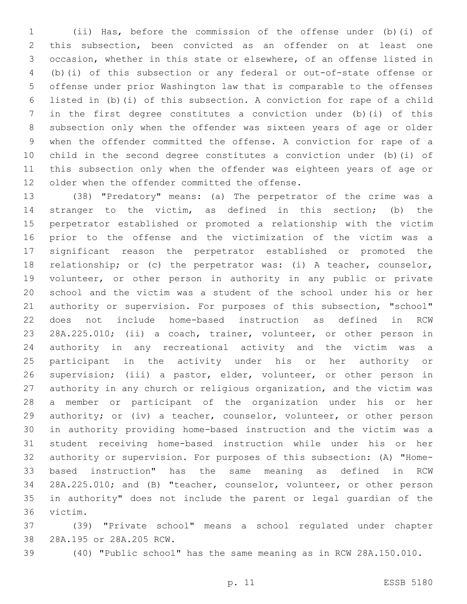(ii) Has, before the commission of the offense under (b)(i) of this subsection, been convicted as an offender on at least one occasion, whether in this state or elsewhere, of an offense listed in (b)(i) of this subsection or any federal or out-of-state offense or offense under prior Washington law that is comparable to the offenses listed in (b)(i) of this subsection. A conviction for rape of a child in the first degree constitutes a conviction under (b)(i) of this subsection only when the offender was sixteen years of age or older when the offender committed the offense. A conviction for rape of a child in the second degree constitutes a conviction under (b)(i) of this subsection only when the offender was eighteen years of age or 12 older when the offender committed the offense.

 (38) "Predatory" means: (a) The perpetrator of the crime was a stranger to the victim, as defined in this section; (b) the perpetrator established or promoted a relationship with the victim prior to the offense and the victimization of the victim was a significant reason the perpetrator established or promoted the relationship; or (c) the perpetrator was: (i) A teacher, counselor, volunteer, or other person in authority in any public or private school and the victim was a student of the school under his or her authority or supervision. For purposes of this subsection, "school" does not include home-based instruction as defined in RCW 28A.225.010; (ii) a coach, trainer, volunteer, or other person in authority in any recreational activity and the victim was a participant in the activity under his or her authority or supervision; (iii) a pastor, elder, volunteer, or other person in authority in any church or religious organization, and the victim was a member or participant of the organization under his or her authority; or (iv) a teacher, counselor, volunteer, or other person in authority providing home-based instruction and the victim was a student receiving home-based instruction while under his or her authority or supervision. For purposes of this subsection: (A) "Home- based instruction" has the same meaning as defined in RCW 28A.225.010; and (B) "teacher, counselor, volunteer, or other person in authority" does not include the parent or legal guardian of the 36 victim.

 (39) "Private school" means a school regulated under chapter 38 28A.195 or 28A.205 RCW.

(40) "Public school" has the same meaning as in RCW 28A.150.010.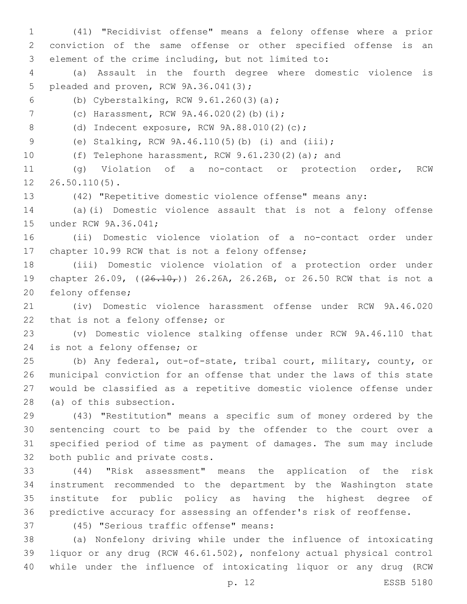(41) "Recidivist offense" means a felony offense where a prior conviction of the same offense or other specified offense is an element of the crime including, but not limited to:

 (a) Assault in the fourth degree where domestic violence is 5 pleaded and proven, RCW 9A.36.041(3);

(b) Cyberstalking, RCW 9.61.260(3)(a);6

7 (c) Harassment, RCW 9A.46.020(2)(b)(i);

8 (d) Indecent exposure, RCW 9A.88.010(2)(c);

(e) Stalking, RCW 9A.46.110(5)(b) (i) and (iii);

(f) Telephone harassment, RCW 9.61.230(2)(a); and

 (g) Violation of a no-contact or protection order, RCW  $12 \quad 26.50.110(5)$ .

(42) "Repetitive domestic violence offense" means any:

 (a)(i) Domestic violence assault that is not a felony offense 15 under RCW 9A.36.041;

 (ii) Domestic violence violation of a no-contact order under 17 chapter 10.99 RCW that is not a felony offense;

 (iii) Domestic violence violation of a protection order under 19 chapter 26.09, ( $(26.10)$ ) 26.26A, 26.26B, or 26.50 RCW that is not a 20 felony offense;

 (iv) Domestic violence harassment offense under RCW 9A.46.020 22 that is not a felony offense; or

 (v) Domestic violence stalking offense under RCW 9A.46.110 that 24 is not a felony offense; or

 (b) Any federal, out-of-state, tribal court, military, county, or municipal conviction for an offense that under the laws of this state would be classified as a repetitive domestic violence offense under 28 (a) of this subsection.

 (43) "Restitution" means a specific sum of money ordered by the sentencing court to be paid by the offender to the court over a specified period of time as payment of damages. The sum may include 32 both public and private costs.

 (44) "Risk assessment" means the application of the risk instrument recommended to the department by the Washington state institute for public policy as having the highest degree of predictive accuracy for assessing an offender's risk of reoffense.

(45) "Serious traffic offense" means:37

 (a) Nonfelony driving while under the influence of intoxicating liquor or any drug (RCW 46.61.502), nonfelony actual physical control while under the influence of intoxicating liquor or any drug (RCW

p. 12 ESSB 5180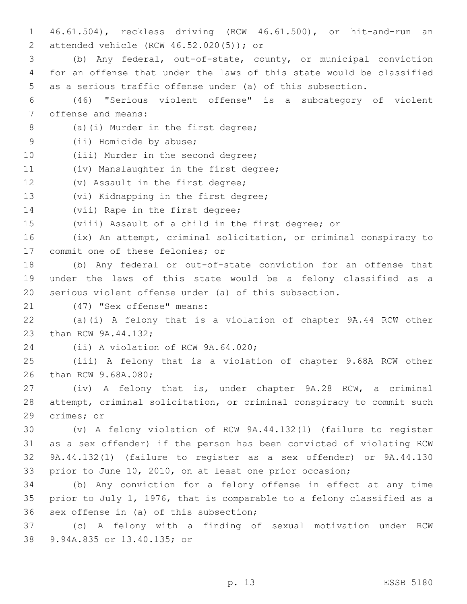1 46.61.504), reckless driving (RCW 46.61.500), or hit-and-run an attended vehicle (RCW 46.52.020(5)); or2 3 (b) Any federal, out-of-state, county, or municipal conviction 4 for an offense that under the laws of this state would be classified 5 as a serious traffic offense under (a) of this subsection. 6 (46) "Serious violent offense" is a subcategory of violent 7 offense and means: 8 (a)(i) Murder in the first degree; 9 (ii) Homicide by abuse; 10 (iii) Murder in the second degree; 11 (iv) Manslaughter in the first degree; 12 (v) Assault in the first degree; 13 (vi) Kidnapping in the first degree; 14 (vii) Rape in the first degree; 15 (viii) Assault of a child in the first degree; or 16 (ix) An attempt, criminal solicitation, or criminal conspiracy to 17 commit one of these felonies; or 18 (b) Any federal or out-of-state conviction for an offense that 19 under the laws of this state would be a felony classified as a 20 serious violent offense under (a) of this subsection. 21 (47) "Sex offense" means: 22 (a)(i) A felony that is a violation of chapter 9A.44 RCW other 23 than RCW 9A.44.132; 24 (ii) A violation of RCW 9A.64.020; 25 (iii) A felony that is a violation of chapter 9.68A RCW other 26 than RCW 9.68A.080; 27 (iv) A felony that is, under chapter 9A.28 RCW, a criminal 28 attempt, criminal solicitation, or criminal conspiracy to commit such 29 crimes; or 30 (v) A felony violation of RCW 9A.44.132(1) (failure to register 31 as a sex offender) if the person has been convicted of violating RCW 32 9A.44.132(1) (failure to register as a sex offender) or 9A.44.130 33 prior to June 10, 2010, on at least one prior occasion; 34 (b) Any conviction for a felony offense in effect at any time 35 prior to July 1, 1976, that is comparable to a felony classified as a 36 sex offense in (a) of this subsection; 37 (c) A felony with a finding of sexual motivation under RCW 9.94A.835 or 13.40.135; or38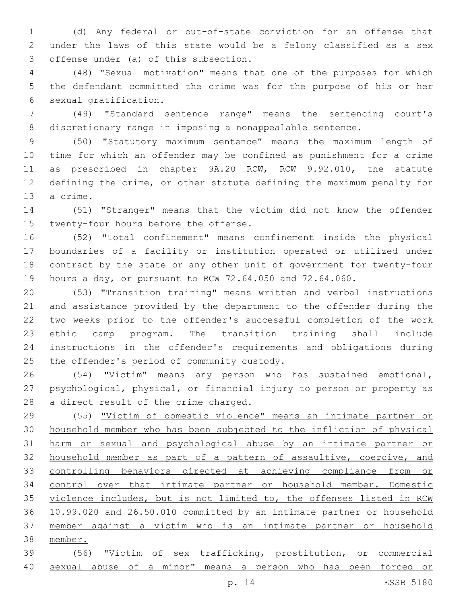(d) Any federal or out-of-state conviction for an offense that under the laws of this state would be a felony classified as a sex 3 offense under (a) of this subsection.

 (48) "Sexual motivation" means that one of the purposes for which the defendant committed the crime was for the purpose of his or her 6 sexual gratification.

 (49) "Standard sentence range" means the sentencing court's discretionary range in imposing a nonappealable sentence.

 (50) "Statutory maximum sentence" means the maximum length of time for which an offender may be confined as punishment for a crime as prescribed in chapter 9A.20 RCW, RCW 9.92.010, the statute defining the crime, or other statute defining the maximum penalty for 13 a crime.

 (51) "Stranger" means that the victim did not know the offender 15 twenty-four hours before the offense.

 (52) "Total confinement" means confinement inside the physical boundaries of a facility or institution operated or utilized under contract by the state or any other unit of government for twenty-four hours a day, or pursuant to RCW 72.64.050 and 72.64.060.

 (53) "Transition training" means written and verbal instructions and assistance provided by the department to the offender during the two weeks prior to the offender's successful completion of the work ethic camp program. The transition training shall include instructions in the offender's requirements and obligations during 25 the offender's period of community custody.

 (54) "Victim" means any person who has sustained emotional, psychological, physical, or financial injury to person or property as 28 a direct result of the crime charged.

 (55) "Victim of domestic violence" means an intimate partner or household member who has been subjected to the infliction of physical harm or sexual and psychological abuse by an intimate partner or 32 household member as part of a pattern of assaultive, coercive, and controlling behaviors directed at achieving compliance from or control over that intimate partner or household member. Domestic violence includes, but is not limited to, the offenses listed in RCW 10.99.020 and 26.50.010 committed by an intimate partner or household member against a victim who is an intimate partner or household member.

 (56) "Victim of sex trafficking, prostitution, or commercial sexual abuse of a minor" means a person who has been forced or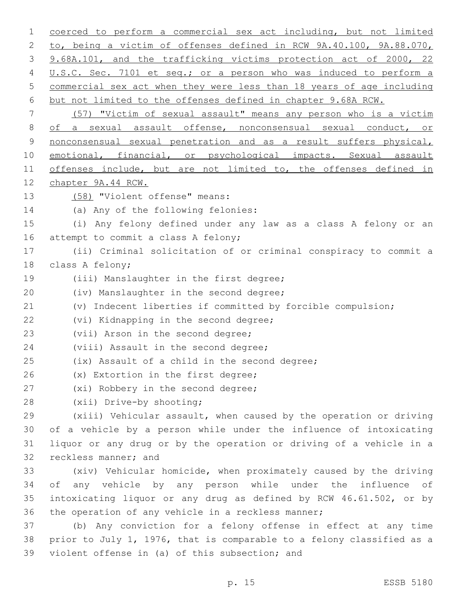1 coerced to perform a commercial sex act including, but not limited 2 to, being a victim of offenses defined in RCW 9A.40.100, 9A.88.070, 3 9.68A.101, and the trafficking victims protection act of 2000, 22 4 U.S.C. Sec. 7101 et seq.; or a person who was induced to perform a 5 commercial sex act when they were less than 18 years of age including 6 but not limited to the offenses defined in chapter 9.68A RCW. 7 (57) "Victim of sexual assault" means any person who is a victim 8 of a sexual assault offense, nonconsensual sexual conduct, or 9 nonconsensual sexual penetration and as a result suffers physical, 10 emotional, financial, or psychological impacts. Sexual assault 11 offenses include, but are not limited to, the offenses defined in 12 chapter 9A.44 RCW. 13 (58) "Violent offense" means: 14 (a) Any of the following felonies: 15 (i) Any felony defined under any law as a class A felony or an 16 attempt to commit a class A felony; 17 (ii) Criminal solicitation of or criminal conspiracy to commit a 18 class A felony; 19 (iii) Manslaughter in the first degree; 20 (iv) Manslaughter in the second degree; 21 (v) Indecent liberties if committed by forcible compulsion; 22 (vi) Kidnapping in the second degree; 23 (vii) Arson in the second degree; 24 (viii) Assault in the second degree; 25 (ix) Assault of a child in the second degree; 26 (x) Extortion in the first degree; 27 (xi) Robbery in the second degree; 28 (xii) Drive-by shooting; 29 (xiii) Vehicular assault, when caused by the operation or driving 30 of a vehicle by a person while under the influence of intoxicating 31 liquor or any drug or by the operation or driving of a vehicle in a 32 reckless manner; and 33 (xiv) Vehicular homicide, when proximately caused by the driving 34 of any vehicle by any person while under the influence of 35 intoxicating liquor or any drug as defined by RCW 46.61.502, or by 36 the operation of any vehicle in a reckless manner; 37 (b) Any conviction for a felony offense in effect at any time 38 prior to July 1, 1976, that is comparable to a felony classified as a 39 violent offense in (a) of this subsection; and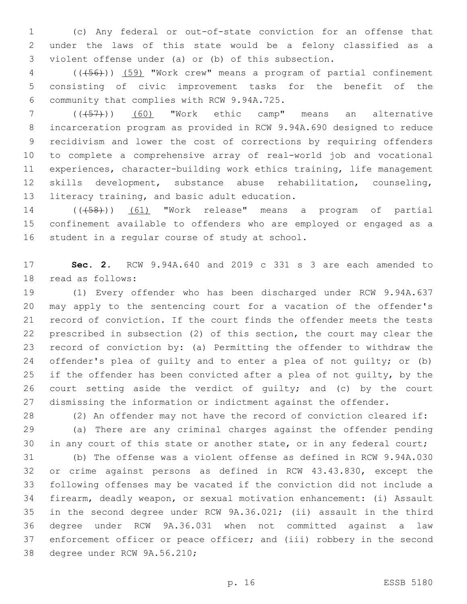(c) Any federal or out-of-state conviction for an offense that under the laws of this state would be a felony classified as a violent offense under (a) or (b) of this subsection.

 (((56))) (59) "Work crew" means a program of partial confinement consisting of civic improvement tasks for the benefit of the 6 community that complies with RCW 9.94A.725.

 (((57))) (60) "Work ethic camp" means an alternative incarceration program as provided in RCW 9.94A.690 designed to reduce recidivism and lower the cost of corrections by requiring offenders to complete a comprehensive array of real-world job and vocational experiences, character-building work ethics training, life management skills development, substance abuse rehabilitation, counseling, 13 literacy training, and basic adult education.

14 (( $(458)$ )) (61) "Work release" means a program of partial confinement available to offenders who are employed or engaged as a 16 student in a regular course of study at school.

 **Sec. 2.** RCW 9.94A.640 and 2019 c 331 s 3 are each amended to 18 read as follows:

 (1) Every offender who has been discharged under RCW 9.94A.637 may apply to the sentencing court for a vacation of the offender's record of conviction. If the court finds the offender meets the tests prescribed in subsection (2) of this section, the court may clear the record of conviction by: (a) Permitting the offender to withdraw the offender's plea of guilty and to enter a plea of not guilty; or (b) if the offender has been convicted after a plea of not guilty, by the court setting aside the verdict of guilty; and (c) by the court dismissing the information or indictment against the offender.

 (2) An offender may not have the record of conviction cleared if: (a) There are any criminal charges against the offender pending 30 in any court of this state or another state, or in any federal court;

 (b) The offense was a violent offense as defined in RCW 9.94A.030 or crime against persons as defined in RCW 43.43.830, except the following offenses may be vacated if the conviction did not include a firearm, deadly weapon, or sexual motivation enhancement: (i) Assault in the second degree under RCW 9A.36.021; (ii) assault in the third degree under RCW 9A.36.031 when not committed against a law enforcement officer or peace officer; and (iii) robbery in the second 38 degree under RCW 9A.56.210;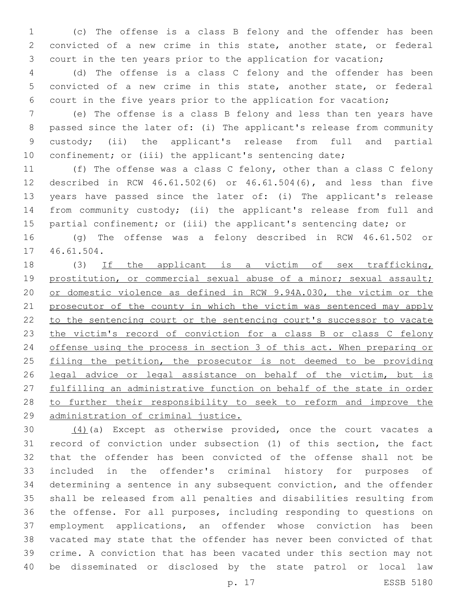(c) The offense is a class B felony and the offender has been convicted of a new crime in this state, another state, or federal court in the ten years prior to the application for vacation;

 (d) The offense is a class C felony and the offender has been convicted of a new crime in this state, another state, or federal court in the five years prior to the application for vacation;

 (e) The offense is a class B felony and less than ten years have passed since the later of: (i) The applicant's release from community custody; (ii) the applicant's release from full and partial 10 confinement; or (iii) the applicant's sentencing date;

 (f) The offense was a class C felony, other than a class C felony described in RCW 46.61.502(6) or 46.61.504(6), and less than five years have passed since the later of: (i) The applicant's release from community custody; (ii) the applicant's release from full and 15 partial confinement; or (iii) the applicant's sentencing date; or

 (g) The offense was a felony described in RCW 46.61.502 or 17 46.61.504.

18 (3) If the applicant is a victim of sex trafficking, 19 prostitution, or commercial sexual abuse of a minor; sexual assault; or domestic violence as defined in RCW 9.94A.030, the victim or the 21 prosecutor of the county in which the victim was sentenced may apply to the sentencing court or the sentencing court's successor to vacate 23 the victim's record of conviction for a class B or class C felony offense using the process in section 3 of this act. When preparing or 25 filing the petition, the prosecutor is not deemed to be providing 26 legal advice or legal assistance on behalf of the victim, but is fulfilling an administrative function on behalf of the state in order to further their responsibility to seek to reform and improve the administration of criminal justice.

 $(4)$  (a) Except as otherwise provided, once the court vacates a record of conviction under subsection (1) of this section, the fact that the offender has been convicted of the offense shall not be included in the offender's criminal history for purposes of determining a sentence in any subsequent conviction, and the offender shall be released from all penalties and disabilities resulting from the offense. For all purposes, including responding to questions on employment applications, an offender whose conviction has been vacated may state that the offender has never been convicted of that crime. A conviction that has been vacated under this section may not be disseminated or disclosed by the state patrol or local law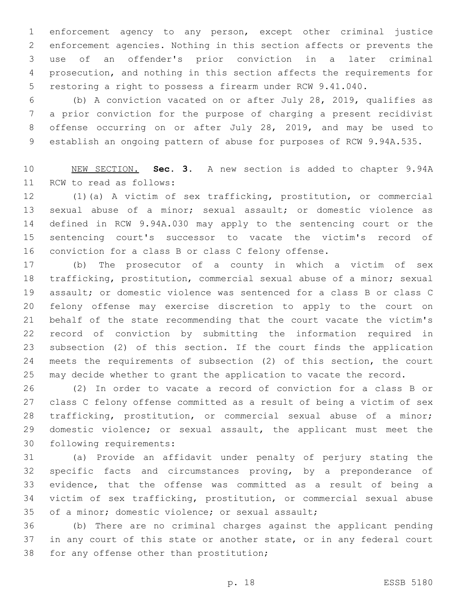enforcement agency to any person, except other criminal justice enforcement agencies. Nothing in this section affects or prevents the use of an offender's prior conviction in a later criminal prosecution, and nothing in this section affects the requirements for restoring a right to possess a firearm under RCW 9.41.040.

 (b) A conviction vacated on or after July 28, 2019, qualifies as a prior conviction for the purpose of charging a present recidivist offense occurring on or after July 28, 2019, and may be used to establish an ongoing pattern of abuse for purposes of RCW 9.94A.535.

 NEW SECTION. **Sec. 3.** A new section is added to chapter 9.94A 11 RCW to read as follows:

 (1)(a) A victim of sex trafficking, prostitution, or commercial sexual abuse of a minor; sexual assault; or domestic violence as defined in RCW 9.94A.030 may apply to the sentencing court or the sentencing court's successor to vacate the victim's record of conviction for a class B or class C felony offense.

 (b) The prosecutor of a county in which a victim of sex trafficking, prostitution, commercial sexual abuse of a minor; sexual assault; or domestic violence was sentenced for a class B or class C felony offense may exercise discretion to apply to the court on behalf of the state recommending that the court vacate the victim's record of conviction by submitting the information required in subsection (2) of this section. If the court finds the application meets the requirements of subsection (2) of this section, the court may decide whether to grant the application to vacate the record.

 (2) In order to vacate a record of conviction for a class B or class C felony offense committed as a result of being a victim of sex trafficking, prostitution, or commercial sexual abuse of a minor; domestic violence; or sexual assault, the applicant must meet the 30 following requirements:

 (a) Provide an affidavit under penalty of perjury stating the specific facts and circumstances proving, by a preponderance of evidence, that the offense was committed as a result of being a victim of sex trafficking, prostitution, or commercial sexual abuse 35 of a minor; domestic violence; or sexual assault;

 (b) There are no criminal charges against the applicant pending in any court of this state or another state, or in any federal court 38 for any offense other than prostitution;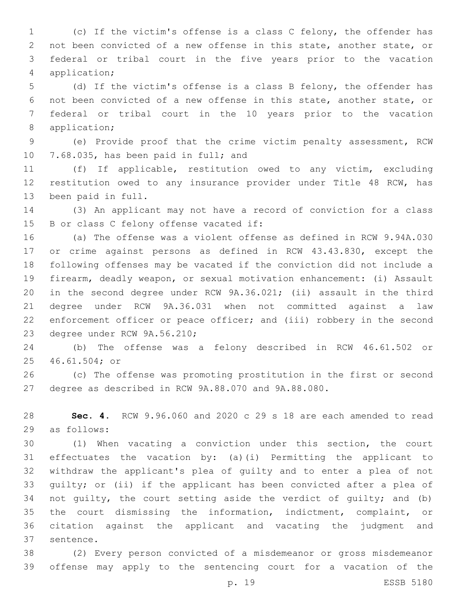(c) If the victim's offense is a class C felony, the offender has not been convicted of a new offense in this state, another state, or federal or tribal court in the five years prior to the vacation application;4

 (d) If the victim's offense is a class B felony, the offender has not been convicted of a new offense in this state, another state, or federal or tribal court in the 10 years prior to the vacation 8 application;

 (e) Provide proof that the crime victim penalty assessment, RCW 10 7.68.035, has been paid in full; and

 (f) If applicable, restitution owed to any victim, excluding restitution owed to any insurance provider under Title 48 RCW, has 13 been paid in full.

 (3) An applicant may not have a record of conviction for a class 15 B or class C felony offense vacated if:

 (a) The offense was a violent offense as defined in RCW 9.94A.030 or crime against persons as defined in RCW 43.43.830, except the following offenses may be vacated if the conviction did not include a firearm, deadly weapon, or sexual motivation enhancement: (i) Assault in the second degree under RCW 9A.36.021; (ii) assault in the third degree under RCW 9A.36.031 when not committed against a law enforcement officer or peace officer; and (iii) robbery in the second 23 degree under RCW 9A.56.210;

 (b) The offense was a felony described in RCW 46.61.502 or 46.61.504; or25

 (c) The offense was promoting prostitution in the first or second degree as described in RCW 9A.88.070 and 9A.88.080.

 **Sec. 4.** RCW 9.96.060 and 2020 c 29 s 18 are each amended to read 29 as follows:

 (1) When vacating a conviction under this section, the court effectuates the vacation by: (a)(i) Permitting the applicant to withdraw the applicant's plea of guilty and to enter a plea of not guilty; or (ii) if the applicant has been convicted after a plea of not guilty, the court setting aside the verdict of guilty; and (b) the court dismissing the information, indictment, complaint, or citation against the applicant and vacating the judgment and 37 sentence.

 (2) Every person convicted of a misdemeanor or gross misdemeanor offense may apply to the sentencing court for a vacation of the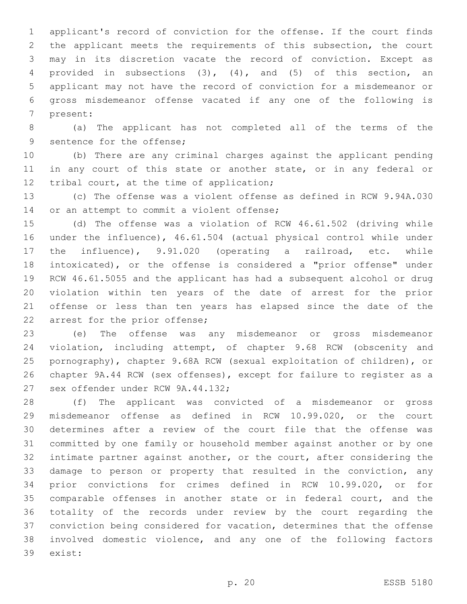applicant's record of conviction for the offense. If the court finds the applicant meets the requirements of this subsection, the court may in its discretion vacate the record of conviction. Except as provided in subsections (3), (4), and (5) of this section, an applicant may not have the record of conviction for a misdemeanor or gross misdemeanor offense vacated if any one of the following is 7 present:

 (a) The applicant has not completed all of the terms of the 9 sentence for the offense;

 (b) There are any criminal charges against the applicant pending 11 in any court of this state or another state, or in any federal or 12 tribal court, at the time of application;

 (c) The offense was a violent offense as defined in RCW 9.94A.030 14 or an attempt to commit a violent offense;

 (d) The offense was a violation of RCW 46.61.502 (driving while under the influence), 46.61.504 (actual physical control while under the influence), 9.91.020 (operating a railroad, etc. while intoxicated), or the offense is considered a "prior offense" under RCW 46.61.5055 and the applicant has had a subsequent alcohol or drug violation within ten years of the date of arrest for the prior offense or less than ten years has elapsed since the date of the 22 arrest for the prior offense;

 (e) The offense was any misdemeanor or gross misdemeanor violation, including attempt, of chapter 9.68 RCW (obscenity and pornography), chapter 9.68A RCW (sexual exploitation of children), or chapter 9A.44 RCW (sex offenses), except for failure to register as a 27 sex offender under RCW 9A.44.132;

 (f) The applicant was convicted of a misdemeanor or gross misdemeanor offense as defined in RCW 10.99.020, or the court determines after a review of the court file that the offense was committed by one family or household member against another or by one intimate partner against another, or the court, after considering the damage to person or property that resulted in the conviction, any prior convictions for crimes defined in RCW 10.99.020, or for comparable offenses in another state or in federal court, and the totality of the records under review by the court regarding the conviction being considered for vacation, determines that the offense involved domestic violence, and any one of the following factors 39 exist: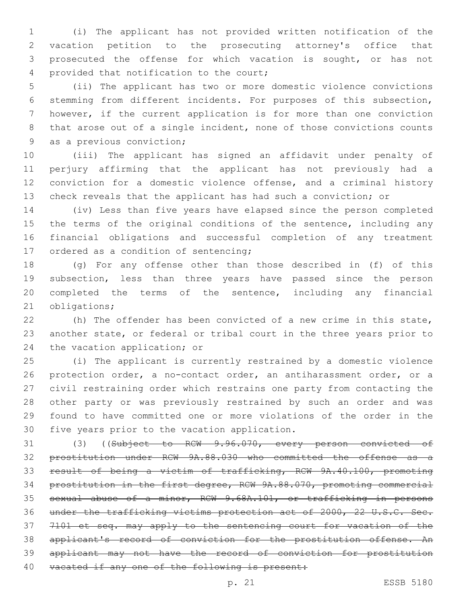(i) The applicant has not provided written notification of the vacation petition to the prosecuting attorney's office that prosecuted the offense for which vacation is sought, or has not 4 provided that notification to the court;

 (ii) The applicant has two or more domestic violence convictions stemming from different incidents. For purposes of this subsection, however, if the current application is for more than one conviction that arose out of a single incident, none of those convictions counts 9 as a previous conviction;

 (iii) The applicant has signed an affidavit under penalty of perjury affirming that the applicant has not previously had a conviction for a domestic violence offense, and a criminal history check reveals that the applicant has had such a conviction; or

 (iv) Less than five years have elapsed since the person completed 15 the terms of the original conditions of the sentence, including any financial obligations and successful completion of any treatment 17 ordered as a condition of sentencing;

 (g) For any offense other than those described in (f) of this subsection, less than three years have passed since the person completed the terms of the sentence, including any financial 21 obligations;

 (h) The offender has been convicted of a new crime in this state, another state, or federal or tribal court in the three years prior to 24 the vacation application; or

 (i) The applicant is currently restrained by a domestic violence protection order, a no-contact order, an antiharassment order, or a civil restraining order which restrains one party from contacting the other party or was previously restrained by such an order and was found to have committed one or more violations of the order in the 30 five years prior to the vacation application.

31 (3) ((Subject to RCW 9.96.070, every person convicted of prostitution under RCW 9A.88.030 who committed the offense as a result of being a victim of trafficking, RCW 9A.40.100, promoting prostitution in the first degree, RCW 9A.88.070, promoting commercial sexual abuse of a minor, RCW 9.68A.101, or trafficking in persons under the trafficking victims protection act of 2000, 22 U.S.C. Sec. 7101 et seq. may apply to the sentencing court for vacation of the 38 applicant's record of conviction for the prostitution offense. An applicant may not have the record of conviction for prostitution 40 vacated if any one of the following is present: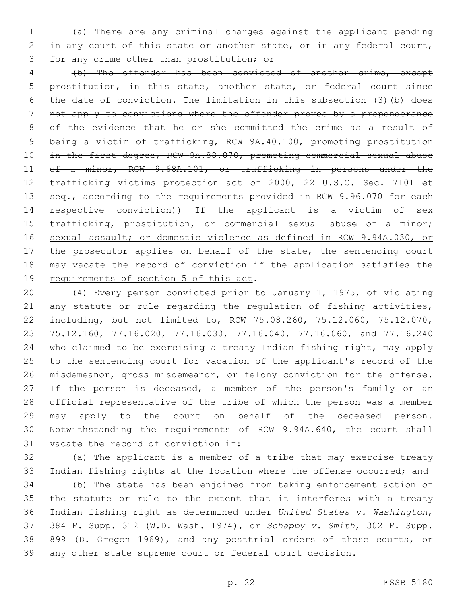(a) There are any criminal charges against the applicant pending 2 in any court of this state or another state, or in any federal court, for any crime other than prostitution; or

 (b) The offender has been convicted of another crime, except prostitution, in this state, another state, or federal court since the date of conviction. The limitation in this subsection (3)(b) does not apply to convictions where the offender proves by a preponderance 8 of the evidence that he or she committed the crime as a result of being a victim of trafficking, RCW 9A.40.100, promoting prostitution in the first degree, RCW 9A.88.070, promoting commercial sexual abuse 11 of a minor, RCW 9.68A.101, or trafficking in persons under the trafficking victims protection act of 2000, 22 U.S.C. Sec. 7101 et 13 seq., according to the requirements provided in RCW 9.96.070 for each 14 respective conviction)) If the applicant is a victim of sex 15 trafficking, prostitution, or commercial sexual abuse of a minor; sexual assault; or domestic violence as defined in RCW 9.94A.030, or 17 the prosecutor applies on behalf of the state, the sentencing court may vacate the record of conviction if the application satisfies the 19 requirements of section 5 of this act.

 (4) Every person convicted prior to January 1, 1975, of violating any statute or rule regarding the regulation of fishing activities, including, but not limited to, RCW 75.08.260, 75.12.060, 75.12.070, 75.12.160, 77.16.020, 77.16.030, 77.16.040, 77.16.060, and 77.16.240 who claimed to be exercising a treaty Indian fishing right, may apply to the sentencing court for vacation of the applicant's record of the misdemeanor, gross misdemeanor, or felony conviction for the offense. 27 If the person is deceased, a member of the person's family or an official representative of the tribe of which the person was a member may apply to the court on behalf of the deceased person. Notwithstanding the requirements of RCW 9.94A.640, the court shall 31 vacate the record of conviction if:

 (a) The applicant is a member of a tribe that may exercise treaty Indian fishing rights at the location where the offense occurred; and

 (b) The state has been enjoined from taking enforcement action of the statute or rule to the extent that it interferes with a treaty Indian fishing right as determined under *United States v. Washington*, 384 F. Supp. 312 (W.D. Wash. 1974), or *Sohappy v. Smith*, 302 F. Supp. 899 (D. Oregon 1969), and any posttrial orders of those courts, or any other state supreme court or federal court decision.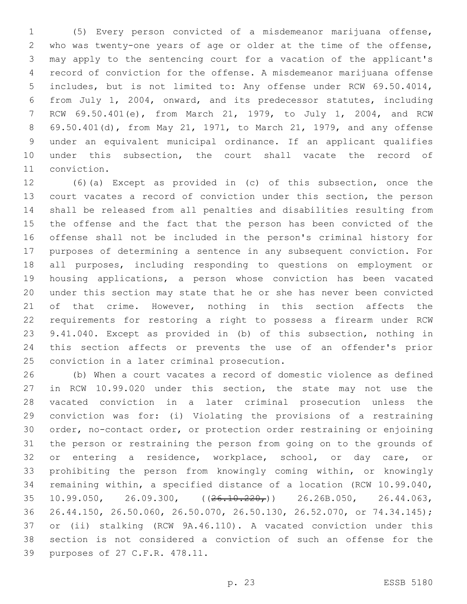(5) Every person convicted of a misdemeanor marijuana offense, who was twenty-one years of age or older at the time of the offense, may apply to the sentencing court for a vacation of the applicant's record of conviction for the offense. A misdemeanor marijuana offense includes, but is not limited to: Any offense under RCW 69.50.4014, from July 1, 2004, onward, and its predecessor statutes, including RCW 69.50.401(e), from March 21, 1979, to July 1, 2004, and RCW 69.50.401(d), from May 21, 1971, to March 21, 1979, and any offense under an equivalent municipal ordinance. If an applicant qualifies 10 under this subsection, the court shall vacate the record of 11 conviction.

 (6)(a) Except as provided in (c) of this subsection, once the court vacates a record of conviction under this section, the person shall be released from all penalties and disabilities resulting from the offense and the fact that the person has been convicted of the offense shall not be included in the person's criminal history for purposes of determining a sentence in any subsequent conviction. For all purposes, including responding to questions on employment or housing applications, a person whose conviction has been vacated under this section may state that he or she has never been convicted 21 of that crime. However, nothing in this section affects the requirements for restoring a right to possess a firearm under RCW 9.41.040. Except as provided in (b) of this subsection, nothing in this section affects or prevents the use of an offender's prior 25 conviction in a later criminal prosecution.

 (b) When a court vacates a record of domestic violence as defined in RCW 10.99.020 under this section, the state may not use the vacated conviction in a later criminal prosecution unless the conviction was for: (i) Violating the provisions of a restraining order, no-contact order, or protection order restraining or enjoining the person or restraining the person from going on to the grounds of or entering a residence, workplace, school, or day care, or prohibiting the person from knowingly coming within, or knowingly remaining within, a specified distance of a location (RCW 10.99.040, 35 10.99.050, 26.09.300,  $((26.10.220)')$  26.26B.050, 26.44.063, 26.44.150, 26.50.060, 26.50.070, 26.50.130, 26.52.070, or 74.34.145); or (ii) stalking (RCW 9A.46.110). A vacated conviction under this section is not considered a conviction of such an offense for the 39 purposes of 27 C.F.R. 478.11.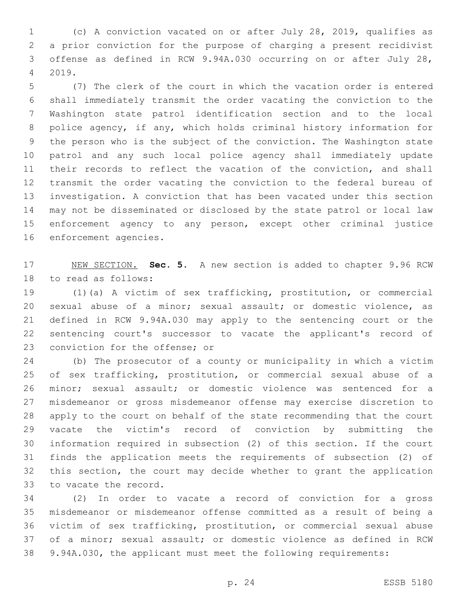(c) A conviction vacated on or after July 28, 2019, qualifies as a prior conviction for the purpose of charging a present recidivist offense as defined in RCW 9.94A.030 occurring on or after July 28, 2019.4

 (7) The clerk of the court in which the vacation order is entered shall immediately transmit the order vacating the conviction to the Washington state patrol identification section and to the local police agency, if any, which holds criminal history information for the person who is the subject of the conviction. The Washington state patrol and any such local police agency shall immediately update 11 their records to reflect the vacation of the conviction, and shall transmit the order vacating the conviction to the federal bureau of investigation. A conviction that has been vacated under this section may not be disseminated or disclosed by the state patrol or local law enforcement agency to any person, except other criminal justice 16 enforcement agencies.

 NEW SECTION. **Sec. 5.** A new section is added to chapter 9.96 RCW 18 to read as follows:

 (1)(a) A victim of sex trafficking, prostitution, or commercial sexual abuse of a minor; sexual assault; or domestic violence, as defined in RCW 9.94A.030 may apply to the sentencing court or the sentencing court's successor to vacate the applicant's record of 23 conviction for the offense; or

 (b) The prosecutor of a county or municipality in which a victim of sex trafficking, prostitution, or commercial sexual abuse of a minor; sexual assault; or domestic violence was sentenced for a misdemeanor or gross misdemeanor offense may exercise discretion to apply to the court on behalf of the state recommending that the court vacate the victim's record of conviction by submitting the information required in subsection (2) of this section. If the court finds the application meets the requirements of subsection (2) of this section, the court may decide whether to grant the application 33 to vacate the record.

 (2) In order to vacate a record of conviction for a gross misdemeanor or misdemeanor offense committed as a result of being a victim of sex trafficking, prostitution, or commercial sexual abuse of a minor; sexual assault; or domestic violence as defined in RCW 9.94A.030, the applicant must meet the following requirements: